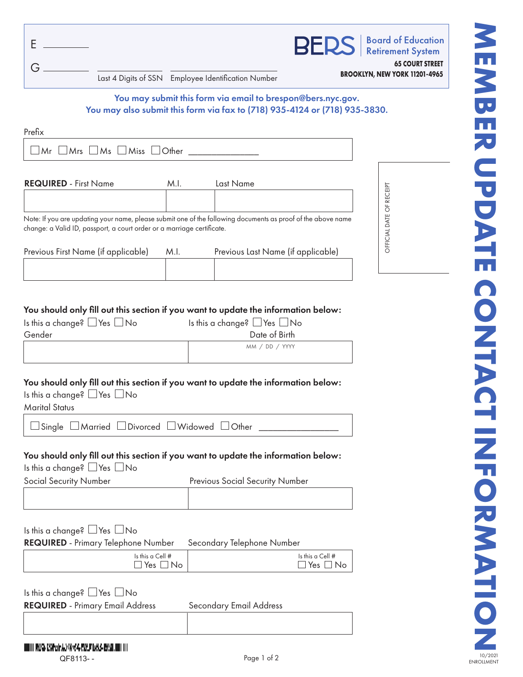|  |                                                             | <b>BERS</b>   Board of Education                        |
|--|-------------------------------------------------------------|---------------------------------------------------------|
|  | Last 4 Digits of SSN Employee Identification Number         | <b>65 COURT STREET</b><br>BROOKLYN, NEW YORK 11201-4965 |
|  | You may submit this form via email to brespon@bers.nyc.gov. |                                                         |

# You may also submit this form via fax to (718) 935-4124 or (718) 935-3830.

| Prefix                                                                                                                                                                                 |                                                |               |                          |  |
|----------------------------------------------------------------------------------------------------------------------------------------------------------------------------------------|------------------------------------------------|---------------|--------------------------|--|
| $Mr \perp Mrs \perp Ms \perp Miss \perp Other$                                                                                                                                         |                                                |               |                          |  |
| <b>REQUIRED - First Name</b><br>M.I.                                                                                                                                                   | Last Name                                      |               |                          |  |
| Note: If you are updating your name, please submit one of the following documents as proof of the above name<br>change: a Valid ID, passport, a court order or a marriage certificate. |                                                |               | OFFICIAL DATE OF RECEIPT |  |
| Previous First Name (if applicable)<br>M.I.                                                                                                                                            | Previous Last Name (if applicable)             |               |                          |  |
|                                                                                                                                                                                        |                                                |               |                          |  |
| You should only fill out this section if you want to update the information below:<br>Is this a change? $\Box$ Yes $\Box$ No                                                           | Is this a change? $\Box$ Yes $\Box$ No         |               |                          |  |
| Gender                                                                                                                                                                                 | Date of Birth                                  |               |                          |  |
|                                                                                                                                                                                        | MM / DD / YYYY                                 |               |                          |  |
| You should only fill out this section if you want to update the information below:<br>Is this a change? $\Box$ Yes $\Box$ No<br><b>Marital Status</b>                                  |                                                |               |                          |  |
| $\Box$ Married $\Box$ Divorced $\Box$ Widowed $\Box$ Other<br>Single                                                                                                                   |                                                |               |                          |  |
| You should only fill out this section if you want to update the information below:<br>Is this a change? $\Box$ Yes $\Box$ No                                                           |                                                |               |                          |  |
| Social Security Number                                                                                                                                                                 | <b>Previous Social Security Number</b>         |               |                          |  |
|                                                                                                                                                                                        |                                                |               |                          |  |
| Is this a change? $\Box$ Yes $\Box$ No                                                                                                                                                 |                                                |               |                          |  |
| <b>REQUIRED</b> - Primary Telephone Number<br>Is this a Cell #                                                                                                                         | Secondary Telephone Number<br>Is this a Cell # |               |                          |  |
| Yes $\Box$ No                                                                                                                                                                          |                                                | Yes $\Box$ No |                          |  |
| Is this a change? Yes No                                                                                                                                                               |                                                |               |                          |  |
| <b>REQUIRED</b> - Primary Email Address                                                                                                                                                | <b>Secondary Email Address</b>                 |               |                          |  |
|                                                                                                                                                                                        |                                                |               |                          |  |

# ENROLLMENT **MEMBER UPDATE CONTACT INFORMATION** MEMBER UPDATE CONTACT INFORMATIO